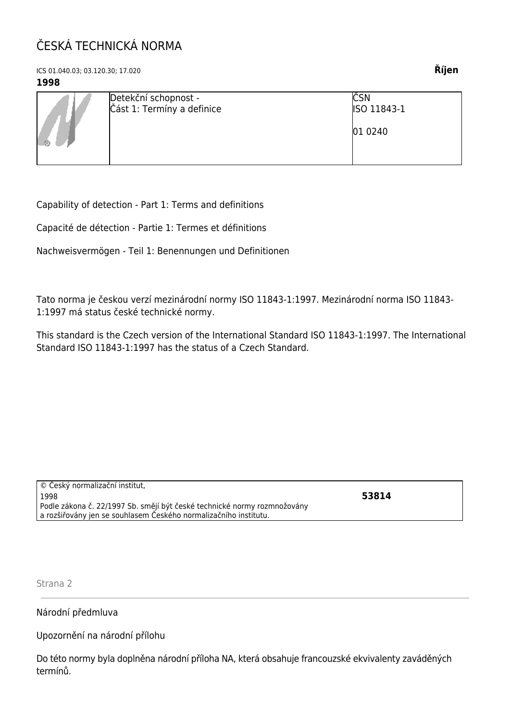## ČESKÁ TECHNICKÁ NORMA

ICS 01.040.03; 03.120.30; 17.020 **Říjen**

## **1998**

Capability of detection - Part 1: Terms and definitions

Capacité de détection - Partie 1: Termes et définitions

Nachweisvermögen - Teil 1: Benennungen und Definitionen

Tato norma je českou verzí mezinárodní normy ISO 11843-1:1997. Mezinárodní norma ISO 11843- 1:1997 má status české technické normy.

This standard is the Czech version of the International Standard ISO 11843-1:1997. The International Standard ISO 11843-1:1997 has the status of a Czech Standard.

| © Český normalizační institut,                                           |       |
|--------------------------------------------------------------------------|-------|
| 1998                                                                     | 53814 |
| Podle zákona č. 22/1997 Sb. smějí být české technické normy rozmnožovány |       |
| a rozšiřovány jen se souhlasem Českého normalizačního institutu.         |       |
|                                                                          |       |

Strana 2

Národní předmluva

Upozornění na národní přílohu

Do této normy byla doplněna národní příloha NA, která obsahuje francouzské ekvivalenty zaváděných termínů.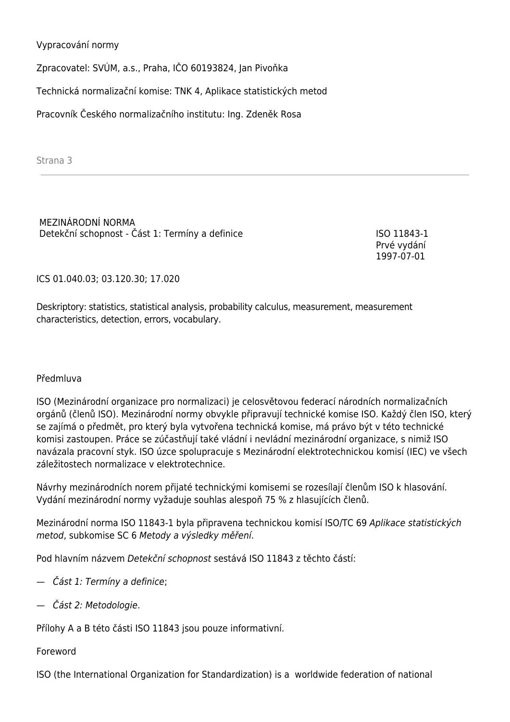Vypracování normy

Zpracovatel: SVÚM, a.s., Praha, IČO 60193824, Jan Pivoňka

Technická normalizační komise: TNK 4, Aplikace statistických metod

Pracovník Českého normalizačního institutu: Ing. Zdeněk Rosa

Strana 3

MEZINÁRODNÍ NORMA Detekční schopnost - Část 1: Termíny a definice ISO 11843-1

Prvé vydání 1997-07-01

ICS 01.040.03; 03.120.30; 17.020

Deskriptory: statistics, statistical analysis, probability calculus, measurement, measurement characteristics, detection, errors, vocabulary.

## Předmluva

ISO (Mezinárodní organizace pro normalizaci) je celosvětovou federací národních normalizačních orgánů (členů ISO). Mezinárodní normy obvykle připravují technické komise ISO. Každý člen ISO, který se zajímá o předmět, pro který byla vytvořena technická komise, má právo být v této technické komisi zastoupen. Práce se zúčastňují také vládní i nevládní mezinárodní organizace, s nimiž ISO navázala pracovní styk. ISO úzce spolupracuje s Mezinárodní elektrotechnickou komisí (IEC) ve všech záležitostech normalizace v elektrotechnice.

Návrhy mezinárodních norem přijaté technickými komisemi se rozesílají členům ISO k hlasování. Vydání mezinárodní normy vyžaduje souhlas alespoň 75 % z hlasujících členů.

Mezinárodní norma ISO 11843-1 byla připravena technickou komisí ISO/TC 69 Aplikace statistických metod, subkomise SC 6 Metody a výsledky měření.

Pod hlavním názvem Detekční schopnost sestává ISO 11843 z těchto částí:

- Část 1: Termíny a definice;
- Část 2: Metodologie.

Přílohy A a B této části ISO 11843 jsou pouze informativní.

Foreword

ISO (the International Organization for Standardization) is a worldwide federation of national